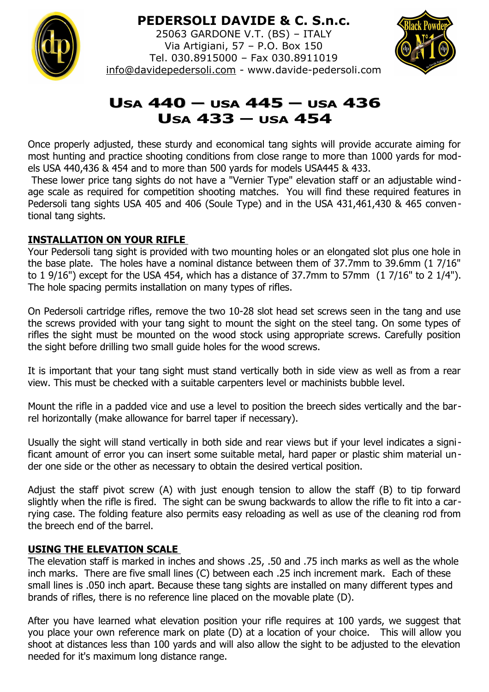

## **PEDERSOLI DAVIDE & C. S.n.c.**

25063 GARDONE V.T. (BS) – ITALY Via Artigiani, 57 – P.O. Box 150 Tel. 030.8915000 – Fax 030.8911019 [info@davidepedersoli.com](mailto:info@davidepedersoli.com) - www.davide-pedersoli.com



# **USA 440 – USA 445 – USA 436 USA 433 – USA 454**

Once properly adjusted, these sturdy and economical tang sights will provide accurate aiming for most hunting and practice shooting conditions from close range to more than 1000 yards for models USA 440,436 & 454 and to more than 500 yards for models USA445 & 433.

 These lower price tang sights do not have a "Vernier Type" elevation staff or an adjustable windage scale as required for competition shooting matches. You will find these required features in Pedersoli tang sights USA 405 and 406 (Soule Type) and in the USA 431,461,430 & 465 conventional tang sights.

#### **INSTALLATION ON YOUR RIFLE**

Your Pedersoli tang sight is provided with two mounting holes or an elongated slot plus one hole in the base plate. The holes have a nominal distance between them of 37.7mm to 39.6mm (1 7/16" to 1 9/16") except for the USA 454, which has a distance of 37.7mm to 57mm (1 7/16" to 2 1/4"). The hole spacing permits installation on many types of rifles.

On Pedersoli cartridge rifles, remove the two 10-28 slot head set screws seen in the tang and use the screws provided with your tang sight to mount the sight on the steel tang. On some types of rifles the sight must be mounted on the wood stock using appropriate screws. Carefully position the sight before drilling two small guide holes for the wood screws.

It is important that your tang sight must stand vertically both in side view as well as from a rear view. This must be checked with a suitable carpenters level or machinists bubble level.

Mount the rifle in a padded vice and use a level to position the breech sides vertically and the barrel horizontally (make allowance for barrel taper if necessary).

Usually the sight will stand vertically in both side and rear views but if your level indicates a significant amount of error you can insert some suitable metal, hard paper or plastic shim material under one side or the other as necessary to obtain the desired vertical position.

Adjust the staff pivot screw (A) with just enough tension to allow the staff (B) to tip forward slightly when the rifle is fired. The sight can be swung backwards to allow the rifle to fit into a carrying case. The folding feature also permits easy reloading as well as use of the cleaning rod from the breech end of the barrel.

#### **USING THE ELEVATION SCALE**

The elevation staff is marked in inches and shows .25, .50 and .75 inch marks as well as the whole inch marks. There are five small lines (C) between each .25 inch increment mark. Each of these small lines is .050 inch apart. Because these tang sights are installed on many different types and brands of rifles, there is no reference line placed on the movable plate (D).

After you have learned what elevation position your rifle requires at 100 yards, we suggest that you place your own reference mark on plate (D) at a location of your choice. This will allow you shoot at distances less than 100 yards and will also allow the sight to be adjusted to the elevation needed for it's maximum long distance range.